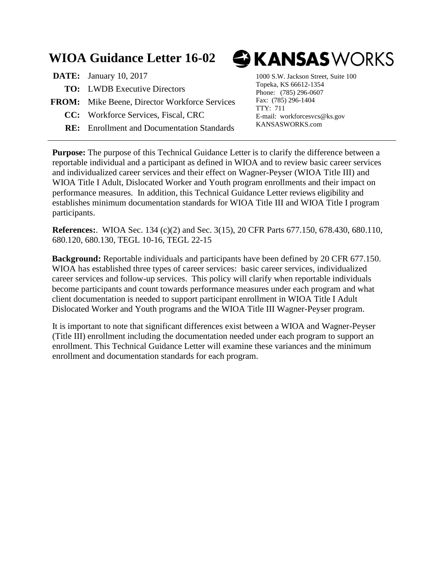## **WIOA Guidance Letter 16-02**

- **DATE:** January 10, 2017 1000 S.W. Jackson Street, Suite 100 **TO:** LWDB Executive Directors **FROM:** Mike Beene, Director Workforce Services **CC:** Workforce Services, Fiscal, CRC
	- **RE:** Enrollment and Documentation Standards

# GKANSASWORKS

Topeka, KS 66612-1354 Phone: (785) 296-0607 Fax: (785) 296-1404 TTY: 711 E-mail: workforcesvcs@ks.gov KANSASWORKS.com

**Purpose:** The purpose of this Technical Guidance Letter is to clarify the difference between a reportable individual and a participant as defined in WIOA and to review basic career services and individualized career services and their effect on Wagner-Peyser (WIOA Title III) and WIOA Title I Adult, Dislocated Worker and Youth program enrollments and their impact on performance measures. In addition, this Technical Guidance Letter reviews eligibility and establishes minimum documentation standards for WIOA Title III and WIOA Title I program participants.

**References:**. WIOA Sec. 134 (c)(2) and Sec. 3(15), 20 CFR Parts 677.150, 678.430, 680.110, 680.120, 680.130, TEGL 10-16, TEGL 22-15

**Background:** Reportable individuals and participants have been defined by 20 CFR 677.150. WIOA has established three types of career services: basic career services, individualized career services and follow-up services. This policy will clarify when reportable individuals become participants and count towards performance measures under each program and what client documentation is needed to support participant enrollment in WIOA Title I Adult Dislocated Worker and Youth programs and the WIOA Title III Wagner-Peyser program.

It is important to note that significant differences exist between a WIOA and Wagner-Peyser (Title III) enrollment including the documentation needed under each program to support an enrollment. This Technical Guidance Letter will examine these variances and the minimum enrollment and documentation standards for each program.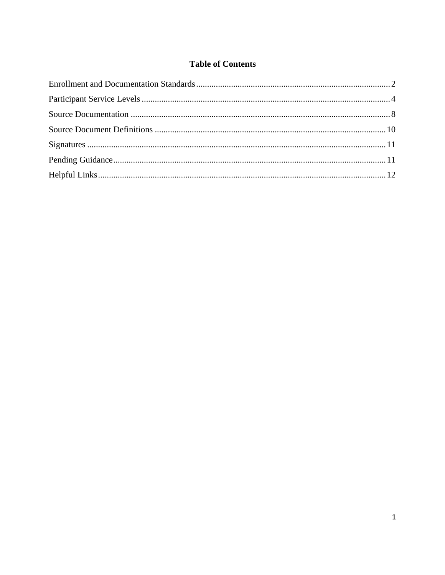#### **Table of Contents**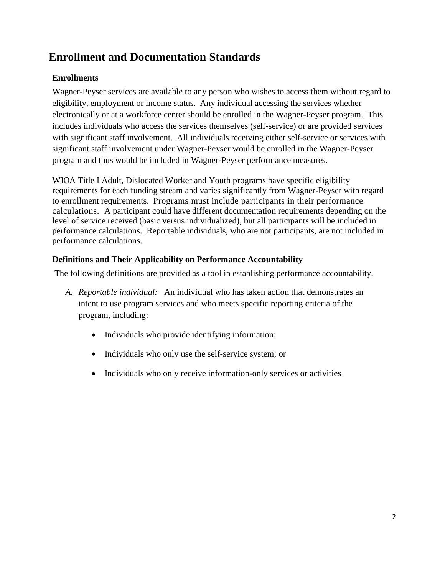### <span id="page-2-0"></span>**Enrollment and Documentation Standards**

#### **Enrollments**

Wagner-Peyser services are available to any person who wishes to access them without regard to eligibility, employment or income status. Any individual accessing the services whether electronically or at a workforce center should be enrolled in the Wagner-Peyser program. This includes individuals who access the services themselves (self-service) or are provided services with significant staff involvement. All individuals receiving either self-service or services with significant staff involvement under Wagner-Peyser would be enrolled in the Wagner-Peyser program and thus would be included in Wagner-Peyser performance measures.

WIOA Title I Adult, Dislocated Worker and Youth programs have specific eligibility requirements for each funding stream and varies significantly from Wagner-Peyser with regard to enrollment requirements. Programs must include participants in their performance calculations. A participant could have different documentation requirements depending on the level of service received (basic versus individualized), but all participants will be included in performance calculations. Reportable individuals, who are not participants, are not included in performance calculations.

#### **Definitions and Their Applicability on Performance Accountability**

The following definitions are provided as a tool in establishing performance accountability.

- *A. Reportable individual:* An individual who has taken action that demonstrates an intent to use program services and who meets specific reporting criteria of the program, including:
	- Individuals who provide identifying information;
	- Individuals who only use the self-service system; or
	- Individuals who only receive information-only services or activities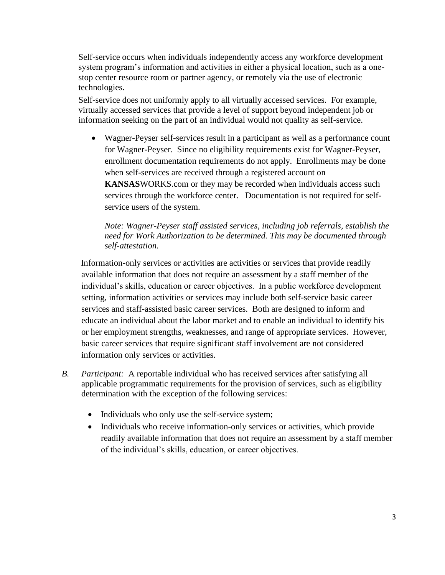Self-service occurs when individuals independently access any workforce development system program's information and activities in either a physical location, such as a onestop center resource room or partner agency, or remotely via the use of electronic technologies.

Self-service does not uniformly apply to all virtually accessed services. For example, virtually accessed services that provide a level of support beyond independent job or information seeking on the part of an individual would not quality as self-service.

• Wagner-Peyser self-services result in a participant as well as a performance count for Wagner-Peyser. Since no eligibility requirements exist for Wagner-Peyser, enrollment documentation requirements do not apply. Enrollments may be done when self-services are received through a registered account on **KANSAS**WORKS.com or they may be recorded when individuals access such services through the workforce center. Documentation is not required for selfservice users of the system.

#### *Note: Wagner-Peyser staff assisted services, including job referrals, establish the need for Work Authorization to be determined. This may be documented through self-attestation.*

Information-only services or activities are activities or services that provide readily available information that does not require an assessment by a staff member of the individual's skills, education or career objectives. In a public workforce development setting, information activities or services may include both self-service basic career services and staff-assisted basic career services. Both are designed to inform and educate an individual about the labor market and to enable an individual to identify his or her employment strengths, weaknesses, and range of appropriate services. However, basic career services that require significant staff involvement are not considered information only services or activities.

- *B. Participant:* A reportable individual who has received services after satisfying all applicable programmatic requirements for the provision of services, such as eligibility determination with the exception of the following services:
	- Individuals who only use the self-service system;
	- Individuals who receive information-only services or activities, which provide readily available information that does not require an assessment by a staff member of the individual's skills, education, or career objectives.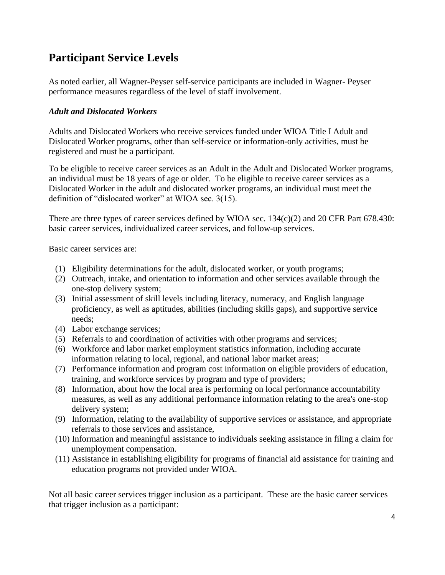### <span id="page-4-0"></span>**Participant Service Levels**

As noted earlier, all Wagner-Peyser self-service participants are included in Wagner- Peyser performance measures regardless of the level of staff involvement.

#### *Adult and Dislocated Workers*

Adults and Dislocated Workers who receive services funded under WIOA Title I Adult and Dislocated Worker programs, other than self-service or information-only activities, must be registered and must be a participant.

To be eligible to receive career services as an Adult in the Adult and Dislocated Worker programs, an individual must be 18 years of age or older. To be eligible to receive career services as a Dislocated Worker in the adult and dislocated worker programs, an individual must meet the definition of "dislocated worker" at WIOA sec. 3(15).

There are three types of career services defined by WIOA sec. 134(c)(2) and 20 CFR Part 678.430: basic career services, individualized career services, and follow-up services.

Basic career services are:

- (1) Eligibility determinations for the adult, dislocated worker, or youth programs;
- (2) Outreach, intake, and orientation to information and other services available through the one-stop delivery system;
- (3) Initial assessment of skill levels including literacy, numeracy, and English language proficiency, as well as aptitudes, abilities (including skills gaps), and supportive service needs;
- (4) Labor exchange services;
- (5) Referrals to and coordination of activities with other programs and services;
- (6) Workforce and labor market employment statistics information, including accurate information relating to local, regional, and national labor market areas;
- (7) Performance information and program cost information on eligible providers of education, training, and workforce services by program and type of providers;
- (8) Information, about how the local area is performing on local performance accountability measures, as well as any additional performance information relating to the area's one-stop delivery system;
- (9) Information, relating to the availability of supportive services or assistance, and appropriate referrals to those services and assistance,
- (10) Information and meaningful assistance to individuals seeking assistance in filing a claim for unemployment compensation.
- (11) Assistance in establishing eligibility for programs of financial aid assistance for training and education programs not provided under WIOA.

Not all basic career services trigger inclusion as a participant. These are the basic career services that trigger inclusion as a participant: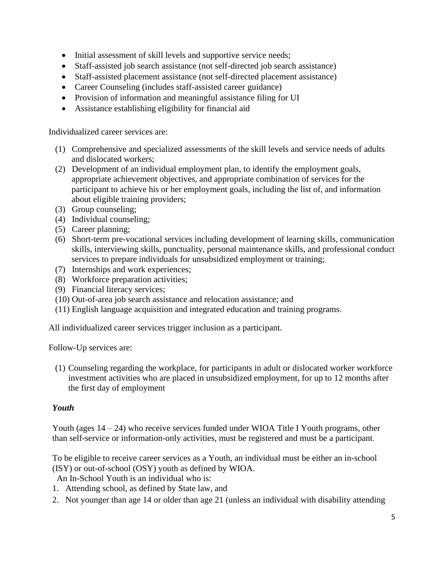- Initial assessment of skill levels and supportive service needs;
- Staff-assisted job search assistance (not self-directed job search assistance)
- Staff-assisted placement assistance (not self-directed placement assistance)
- Career Counseling (includes staff-assisted career guidance)
- Provision of information and meaningful assistance filing for UI
- Assistance establishing eligibility for financial aid

Individualized career services are:

- (1) Comprehensive and specialized assessments of the skill levels and service needs of adults and dislocated workers;
- (2) Development of an individual employment plan, to identify the employment goals, appropriate achievement objectives, and appropriate combination of services for the participant to achieve his or her employment goals, including the list of, and information about eligible training providers;
- (3) Group counseling;
- (4) Individual counseling;
- (5) Career planning;
- (6) Short-term pre-vocational services including development of learning skills, communication skills, interviewing skills, punctuality, personal maintenance skills, and professional conduct services to prepare individuals for unsubsidized employment or training;
- (7) Internships and work experiences;
- (8) Workforce preparation activities;
- (9) Financial literacy services;
- (10) Out-of-area job search assistance and relocation assistance; and
- (11) English language acquisition and integrated education and training programs.

All individualized career services trigger inclusion as a participant.

Follow-Up services are:

(1) Counseling regarding the workplace, for participants in adult or dislocated worker workforce investment activities who are placed in unsubsidized employment, for up to 12 months after the first day of employment

#### *Youth*

Youth (ages 14 – 24) who receive services funded under WIOA Title I Youth programs, other than self-service or information-only activities, must be registered and must be a participant.

To be eligible to receive career services as a Youth, an individual must be either an in-school (ISY) or out-of-school (OSY) youth as defined by WIOA.

An In-School Youth is an individual who is:

- 1. Attending school, as defined by State law, and
- 2. Not younger than age 14 or older than age 21 (unless an individual with disability attending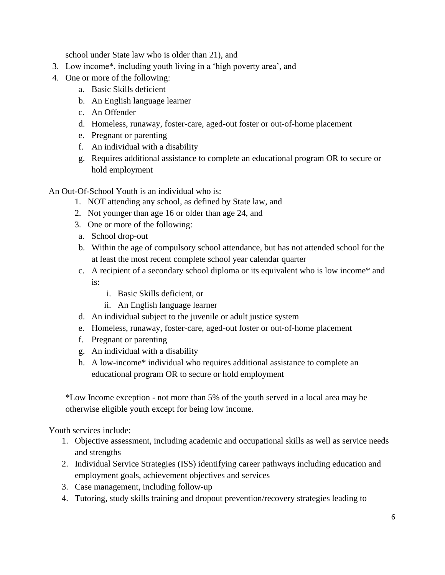school under State law who is older than 21), and

- 3. Low income\*, including youth living in a 'high poverty area', and
- 4. One or more of the following:
	- a. Basic Skills deficient
	- b. An English language learner
	- c. An Offender
	- d. Homeless, runaway, foster-care, aged-out foster or out-of-home placement
	- e. Pregnant or parenting
	- f. An individual with a disability
	- g. Requires additional assistance to complete an educational program OR to secure or hold employment

An Out-Of-School Youth is an individual who is:

- 1. NOT attending any school, as defined by State law, and
- 2. Not younger than age 16 or older than age 24, and
- 3. One or more of the following:
- a. School drop-out
- b. Within the age of compulsory school attendance, but has not attended school for the at least the most recent complete school year calendar quarter
- c. A recipient of a secondary school diploma or its equivalent who is low income\* and is:
	- i. Basic Skills deficient, or
	- ii. An English language learner
- d. An individual subject to the juvenile or adult justice system
- e. Homeless, runaway, foster-care, aged-out foster or out-of-home placement
- f. Pregnant or parenting
- g. An individual with a disability
- h. A low-income\* individual who requires additional assistance to complete an educational program OR to secure or hold employment

\*Low Income exception - not more than 5% of the youth served in a local area may be otherwise eligible youth except for being low income.

Youth services include:

- 1. Objective assessment, including academic and occupational skills as well as service needs and strengths
- 2. Individual Service Strategies (ISS) identifying career pathways including education and employment goals, achievement objectives and services
- 3. Case management, including follow-up
- 4. Tutoring, study skills training and dropout prevention/recovery strategies leading to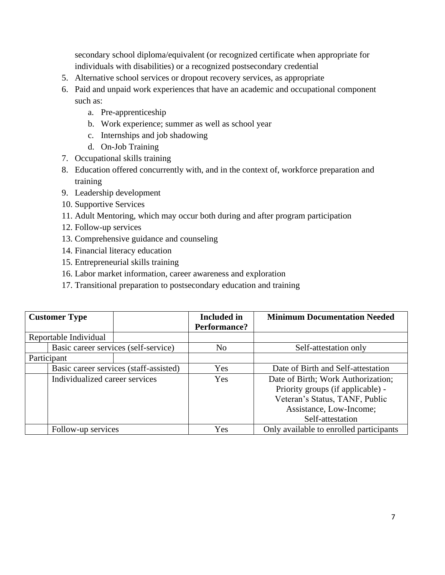secondary school diploma/equivalent (or recognized certificate when appropriate for individuals with disabilities) or a recognized postsecondary credential

- 5. Alternative school services or dropout recovery services, as appropriate
- 6. Paid and unpaid work experiences that have an academic and occupational component such as:
	- a. Pre-apprenticeship
	- b. Work experience; summer as well as school year
	- c. Internships and job shadowing
	- d. On-Job Training
- 7. Occupational skills training
- 8. Education offered concurrently with, and in the context of, workforce preparation and training
- 9. Leadership development
- 10. Supportive Services
- 11. Adult Mentoring, which may occur both during and after program participation
- 12. Follow-up services
- 13. Comprehensive guidance and counseling
- 14. Financial literacy education
- 15. Entrepreneurial skills training
- 16. Labor market information, career awareness and exploration
- 17. Transitional preparation to postsecondary education and training

<span id="page-7-0"></span>

| <b>Customer Type</b>                 |                                        | <b>Included</b> in  | <b>Minimum Documentation Needed</b>     |
|--------------------------------------|----------------------------------------|---------------------|-----------------------------------------|
|                                      |                                        | <b>Performance?</b> |                                         |
| Reportable Individual                |                                        |                     |                                         |
| Basic career services (self-service) |                                        | N <sub>0</sub>      | Self-attestation only                   |
| Participant                          |                                        |                     |                                         |
|                                      | Basic career services (staff-assisted) | Yes                 | Date of Birth and Self-attestation      |
| Individualized career services       |                                        | Yes                 | Date of Birth; Work Authorization;      |
|                                      |                                        |                     | Priority groups (if applicable) -       |
|                                      |                                        |                     | Veteran's Status, TANF, Public          |
|                                      |                                        |                     | Assistance, Low-Income;                 |
|                                      |                                        |                     | Self-attestation                        |
| Follow-up services                   |                                        | Yes                 | Only available to enrolled participants |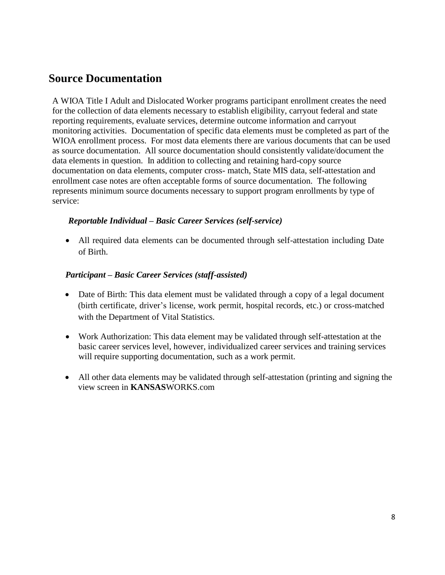### **Source Documentation**

A WIOA Title I Adult and Dislocated Worker programs participant enrollment creates the need for the collection of data elements necessary to establish eligibility, carryout federal and state reporting requirements, evaluate services, determine outcome information and carryout monitoring activities. Documentation of specific data elements must be completed as part of the WIOA enrollment process. For most data elements there are various documents that can be used as source documentation. All source documentation should consistently validate/document the data elements in question. In addition to collecting and retaining hard-copy source documentation on data elements, computer cross- match, State MIS data, self-attestation and enrollment case notes are often acceptable forms of source documentation. The following represents minimum source documents necessary to support program enrollments by type of service:

#### *Reportable Individual – Basic Career Services (self-service)*

• All required data elements can be documented through self-attestation including Date of Birth.

#### *Participant – Basic Career Services (staff-assisted)*

- Date of Birth: This data element must be validated through a copy of a legal document (birth certificate, driver's license, work permit, hospital records, etc.) or cross-matched with the Department of Vital Statistics.
- Work Authorization: This data element may be validated through self-attestation at the basic career services level, however, individualized career services and training services will require supporting documentation, such as a work permit.
- All other data elements may be validated through self-attestation (printing and signing the view screen in **KANSAS**WORKS.com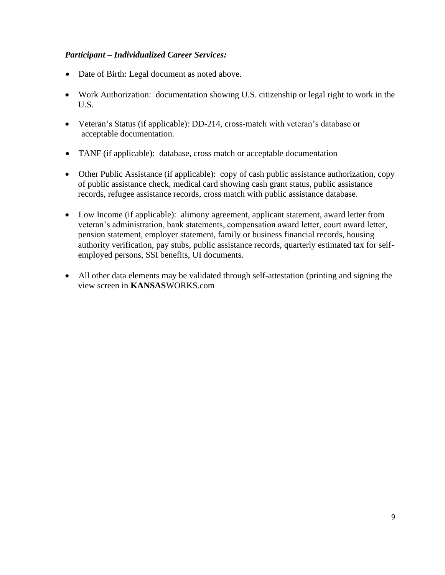#### *Participant – Individualized Career Services:*

- Date of Birth: Legal document as noted above.
- Work Authorization: documentation showing U.S. citizenship or legal right to work in the U.S.
- Veteran's Status (if applicable): DD-214, cross-match with veteran's database or acceptable documentation.
- TANF (if applicable): database, cross match or acceptable documentation
- Other Public Assistance (if applicable): copy of cash public assistance authorization, copy of public assistance check, medical card showing cash grant status, public assistance records, refugee assistance records, cross match with public assistance database.
- Low Income (if applicable): alimony agreement, applicant statement, award letter from veteran's administration, bank statements, compensation award letter, court award letter, pension statement, employer statement, family or business financial records, housing authority verification, pay stubs, public assistance records, quarterly estimated tax for selfemployed persons, SSI benefits, UI documents.
- All other data elements may be validated through self-attestation (printing and signing the view screen in **KANSAS**WORKS.com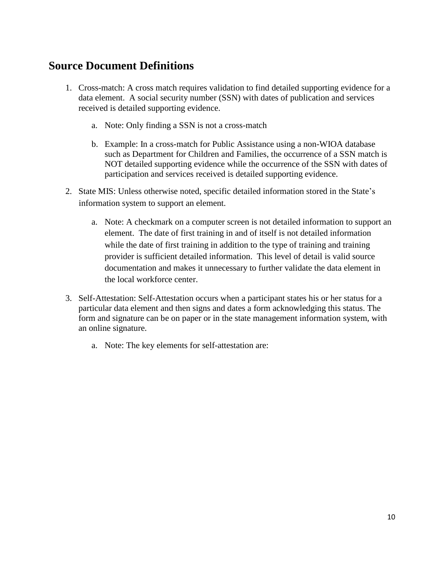### <span id="page-10-0"></span>**Source Document Definitions**

- 1. Cross-match: A cross match requires validation to find detailed supporting evidence for a data element. A social security number (SSN) with dates of publication and services received is detailed supporting evidence.
	- a. Note: Only finding a SSN is not a cross-match
	- b. Example: In a cross-match for Public Assistance using a non-WIOA database such as Department for Children and Families, the occurrence of a SSN match is NOT detailed supporting evidence while the occurrence of the SSN with dates of participation and services received is detailed supporting evidence.
- 2. State MIS: Unless otherwise noted, specific detailed information stored in the State's information system to support an element.
	- a. Note: A checkmark on a computer screen is not detailed information to support an element. The date of first training in and of itself is not detailed information while the date of first training in addition to the type of training and training provider is sufficient detailed information. This level of detail is valid source documentation and makes it unnecessary to further validate the data element in the local workforce center.
- 3. Self-Attestation: Self-Attestation occurs when a participant states his or her status for a particular data element and then signs and dates a form acknowledging this status. The form and signature can be on paper or in the state management information system, with an online signature.
	- a. Note: The key elements for self-attestation are: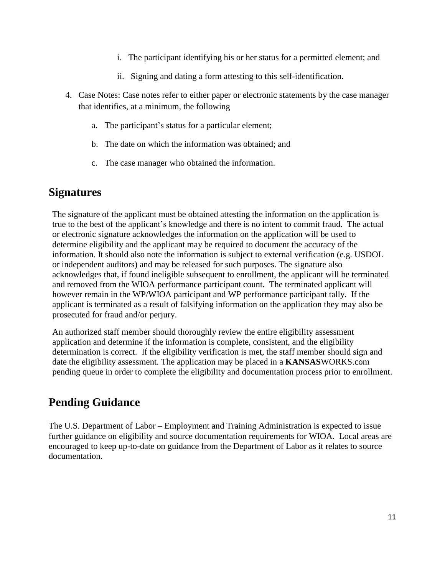- i. The participant identifying his or her status for a permitted element; and
- ii. Signing and dating a form attesting to this self-identification.
- 4. Case Notes: Case notes refer to either paper or electronic statements by the case manager that identifies, at a minimum, the following
	- a. The participant's status for a particular element;
	- b. The date on which the information was obtained; and
	- c. The case manager who obtained the information.

### <span id="page-11-0"></span>**Signatures**

The signature of the applicant must be obtained attesting the information on the application is true to the best of the applicant's knowledge and there is no intent to commit fraud. The actual or electronic signature acknowledges the information on the application will be used to determine eligibility and the applicant may be required to document the accuracy of the information. It should also note the information is subject to external verification (e.g. USDOL or independent auditors) and may be released for such purposes. The signature also acknowledges that, if found ineligible subsequent to enrollment, the applicant will be terminated and removed from the WIOA performance participant count. The terminated applicant will however remain in the WP/WIOA participant and WP performance participant tally. If the applicant is terminated as a result of falsifying information on the application they may also be prosecuted for fraud and/or perjury.

An authorized staff member should thoroughly review the entire eligibility assessment application and determine if the information is complete, consistent, and the eligibility determination is correct. If the eligibility verification is met, the staff member should sign and date the eligibility assessment. The application may be placed in a **KANSAS**WORKS.com pending queue in order to complete the eligibility and documentation process prior to enrollment.

### <span id="page-11-1"></span>**Pending Guidance**

The U.S. Department of Labor – Employment and Training Administration is expected to issue further guidance on eligibility and source documentation requirements for WIOA. Local areas are encouraged to keep up-to-date on guidance from the Department of Labor as it relates to source documentation.